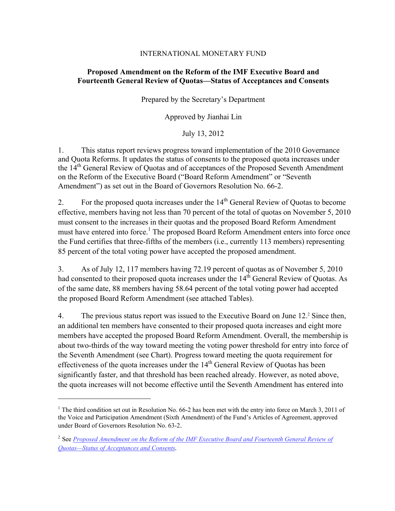# INTERNATIONAL MONETARY FUND

# **Proposed Amendment on the Reform of the IMF Executive Board and Fourteenth General Review of Quotas—Status of Acceptances and Consents**

Prepared by the Secretary's Department

Approved by Jianhai Lin

July 13, 2012

1. This status report reviews progress toward implementation of the 2010 Governance and Quota Reforms. It updates the status of consents to the proposed quota increases under the 14<sup>th</sup> General Review of Ouotas and of acceptances of the Proposed Seventh Amendment on the Reform of the Executive Board ("Board Reform Amendment" or "Seventh Amendment") as set out in the Board of Governors Resolution No. 66-2.

2. For the proposed quota increases under the  $14<sup>th</sup>$  General Review of Quotas to become effective, members having not less than 70 percent of the total of quotas on November 5, 2010 must consent to the increases in their quotas and the proposed Board Reform Amendment must have entered into force.<sup>1</sup> The proposed Board Reform Amendment enters into force once the Fund certifies that three-fifths of the members (i.e., currently 113 members) representing 85 percent of the total voting power have accepted the proposed amendment.

3. As of July 12, 117 members having 72.19 percent of quotas as of November 5, 2010 had consented to their proposed quota increases under the  $14<sup>th</sup>$  General Review of Ouotas. As of the same date, 88 members having 58.64 percent of the total voting power had accepted the proposed Board Reform Amendment (see attached Tables).

4. The previous status report was issued to the Executive Board on June 12.<sup>2</sup> Since then, an additional ten members have consented to their proposed quota increases and eight more members have accepted the proposed Board Reform Amendment. Overall, the membership is about two-thirds of the way toward meeting the voting power threshold for entry into force of the Seventh Amendment (see Chart). Progress toward meeting the quota requirement for effectiveness of the quota increases under the  $14<sup>th</sup>$  General Review of Ouotas has been significantly faster, and that threshold has been reached already. However, as noted above, the quota increases will not become effective until the Seventh Amendment has entered into

 $\overline{a}$ 

<sup>&</sup>lt;sup>1</sup> The third condition set out in Resolution No. 66-2 has been met with the entry into force on March 3, 2011 of the Voice and Participation Amendment (Sixth Amendment) of the Fund's Articles of Agreement, approved under Board of Governors Resolution No. 63-2.

<sup>2</sup> See *[Proposed Amendment on the Reform of the IMF Executive Board and Fourteenth General Review of](http://www.imf.org/external/ns/search.aspx?NewQuery=Proposed+Amendment&col=&submit.x=15&submit.y=8)  Quotas—Status of Acceptances and Consents.*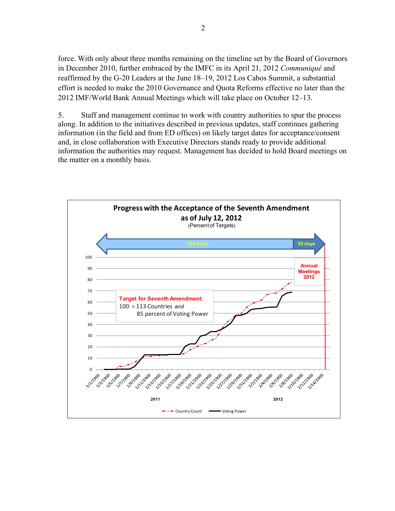force. With only about three months remaining on the timeline set by the Board of Governors in December 2010, further embraced by the IMFC in its April 21, 2012 *Communiqué* and reaffirmed by the G-20 Leaders at the June 18–19, 2012 Los Cabos Summit, a substantial effort is needed to make the 2010 Governance and Quota Reforms effective no later than the 2012 IMF/World Bank Annual Meetings which will take place on October 12–13.

5. Staff and management continue to work with country authorities to spur the process along. In addition to the initiatives described in previous updates, staff continues gathering information (in the field and from ED offices) on likely target dates for acceptance/consent and, in close collaboration with Executive Directors stands ready to provide additional information the authorities may request. Management has decided to hold Board meetings on the matter on a monthly basis.

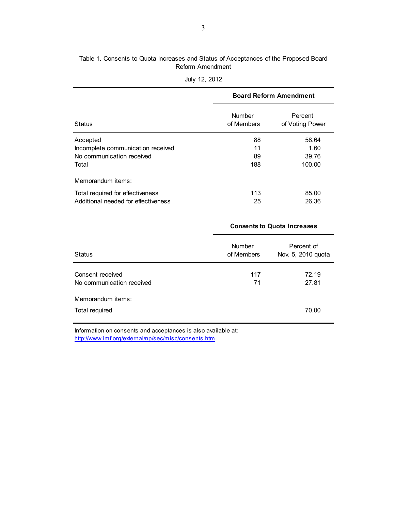## Table 1. Consents to Quota Increases and Status of Acceptances of the Proposed Board Reform Amendment

|                                     | <b>Board Reform Amendment</b> |                            |  |  |
|-------------------------------------|-------------------------------|----------------------------|--|--|
| <b>Status</b>                       | <b>Number</b><br>of Members   | Percent<br>of Voting Power |  |  |
| Accepted                            | 88                            | 58.64                      |  |  |
| Incomplete communication received   | 11                            | 1.60                       |  |  |
| No communication received           | 89                            | 39.76                      |  |  |
| Total                               | 188                           | 100.00                     |  |  |
| Memorandum items:                   |                               |                            |  |  |
| Total required for effectiveness    | 113                           | 85.00                      |  |  |
| Additional needed for effectiveness | 25                            | 26.36                      |  |  |

|  |  | July 12, 2012 |
|--|--|---------------|
|--|--|---------------|

|                                               | <b>Consents to Quota Increases</b> |                                  |  |  |
|-----------------------------------------------|------------------------------------|----------------------------------|--|--|
| <b>Status</b>                                 | <b>Number</b><br>of Members        | Percent of<br>Nov. 5, 2010 quota |  |  |
| Consent received<br>No communication received | 117<br>71                          | 72.19<br>27.81                   |  |  |
| Memorandum items:<br>Total required           |                                    | 70.00                            |  |  |

Information on consents and acceptances is also available at: <http://www.imf.org/external/np/sec/misc/consents.htm>.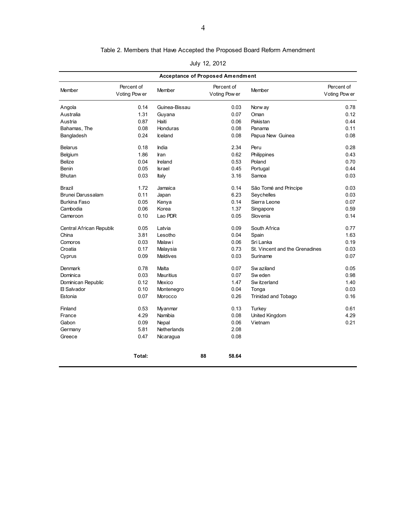#### Table 2. Members that Have Accepted the Proposed Board Reform Amendment

| July 12, 2012 |  |  |  |
|---------------|--|--|--|
|---------------|--|--|--|

| <b>Acceptance of Proposed Amendment</b> |                             |               |                             |                                |                             |
|-----------------------------------------|-----------------------------|---------------|-----------------------------|--------------------------------|-----------------------------|
| Member                                  | Percent of<br>Voting Pow er | Member        | Percent of<br>Voting Pow er | Member                         | Percent of<br>Voting Pow er |
| Angola                                  | 0.14                        | Guinea-Bissau | 0.03                        | Norw ay                        | 0.78                        |
| Australia                               | 1.31                        | Guyana        | 0.07                        | Oman                           | 0.12                        |
| Austria                                 | 0.87                        | Haiti         | 0.06                        | Pakistan                       | 0.44                        |
| Bahamas, The                            | 0.08                        | Honduras      | 0.08                        | Panama                         | 0.11                        |
| Bangladesh                              | 0.24                        | Iceland       | 0.08                        | Papua New Guinea               | 0.08                        |
| <b>Belarus</b>                          | 0.18                        | India         | 2.34                        | Peru                           | 0.28                        |
| Belgium                                 | 1.86                        | Iran          | 0.62                        | Philippines                    | 0.43                        |
| Belize                                  | 0.04                        | Ireland       | 0.53                        | Poland                         | 0.70                        |
| Benin                                   | 0.05                        | <b>Israel</b> | 0.45                        | Portugal                       | 0.44                        |
| <b>Bhutan</b>                           | 0.03                        | Italy         | 3.16                        | Samoa                          | 0.03                        |
| Brazil                                  | 1.72                        | Jamaica       | 0.14                        | São Tomé and Príncipe          | 0.03                        |
| Brunei Darussalam                       | 0.11                        | Japan         | 6.23                        | Seychelles                     | 0.03                        |
| Burkina Faso                            | 0.05                        | Kenya         | 0.14                        | Sierra Leone                   | 0.07                        |
| Cambodia                                | 0.06                        | Korea         | 1.37                        | Singapore                      | 0.59                        |
| Cameroon                                | 0.10                        | Lao PDR       | 0.05                        | Slovenia                       | 0.14                        |
| Central African Republic                | 0.05                        | Latvia        | 0.09                        | South Africa                   | 0.77                        |
| China                                   | 3.81                        | Lesotho       | 0.04                        | Spain                          | 1.63                        |
| Comoros                                 | 0.03                        | Malaw i       | 0.06                        | Sri Lanka                      | 0.19                        |
| Croatia                                 | 0.17                        | Malaysia      | 0.73                        | St. Vincent and the Grenadines | 0.03                        |
| Cyprus                                  | 0.09                        | Maldives      | 0.03                        | Suriname                       | 0.07                        |
| Denmark                                 | 0.78                        | Malta         | 0.07                        | Sw aziland                     | 0.05                        |
| Dominica                                | 0.03                        | Mauritius     | 0.07                        | Sw eden                        | 0.98                        |
| Dominican Republic                      | 0.12                        | Mexico        | 1.47                        | Sw itzerland                   | 1.40                        |
| 日 Salvador                              | 0.10                        | Montenegro    | 0.04                        | Tonga                          | 0.03                        |
| Estonia                                 | 0.07                        | Morocco       | 0.26                        | Trinidad and Tobago            | 0.16                        |
| Finland                                 | 0.53                        | Myanmar       | 0.13                        | Turkey                         | 0.61                        |
| France                                  | 4.29                        | Namibia       | 0.08                        | United Kingdom                 | 4.29                        |
| Gabon                                   | 0.09                        | Nepal         | 0.06                        | Vietnam                        | 0.21                        |
| Germany                                 | 5.81                        | Netherlands   | 2.08                        |                                |                             |
| Greece                                  | 0.47                        | Nicaragua     | 0.08                        |                                |                             |
|                                         | Total:                      |               | 88<br>58.64                 |                                |                             |